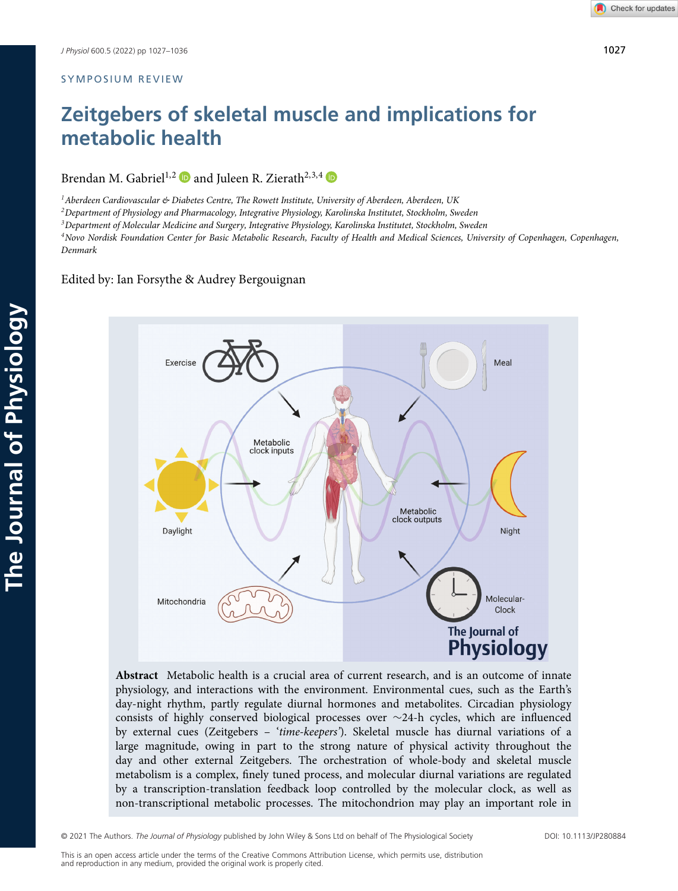## SYMPOSIUM REVIEW

# **Zeitgebers of skeletal muscle and implications for metabolic health**

Brendan M. Gabriel<sup>1,2</sup> and Juleen R. Zierath<sup>2,3,4</sup>  $\Phi$ 

*1Aberdeen Cardiovascular & Diabetes Centre, The Rowett Institute, University of Aberdeen, Aberdeen, UK*

*2Department of Physiology and Pharmacology, Integrative Physiology, Karolinska Institutet, Stockholm, Sweden*

*3Department of Molecular Medicine and Surgery, Integrative Physiology, Karolinska Institutet, Stockholm, Sweden*

*4Novo Nordisk Foundation Center for Basic Metabolic Research, Faculty of Health and Medical Sciences, University of Copenhagen, Copenhagen, Denmark*

# Edited by: Ian Forsythe & Audrey Bergouignan



**Abstract** Metabolic health is a crucial area of current research, and is an outcome of innate physiology, and interactions with the environment. Environmental cues, such as the Earth's day-night rhythm, partly regulate diurnal hormones and metabolites. Circadian physiology consists of highly conserved biological processes over ∼24-h cycles, which are influenced by external cues (Zeitgebers – '*time-keepers'*). Skeletal muscle has diurnal variations of a large magnitude, owing in part to the strong nature of physical activity throughout the day and other external Zeitgebers. The orchestration of whole-body and skeletal muscle metabolism is a complex, finely tuned process, and molecular diurnal variations are regulated by a transcription-translation feedback loop controlled by the molecular clock, as well as non-transcriptional metabolic processes. The mitochondrion may play an important role in

© 2021 The Authors. *The Journal of Physiology* published by John Wiley & Sons Ltd on behalf of The Physiological Society DOI: 10.1113/JP280884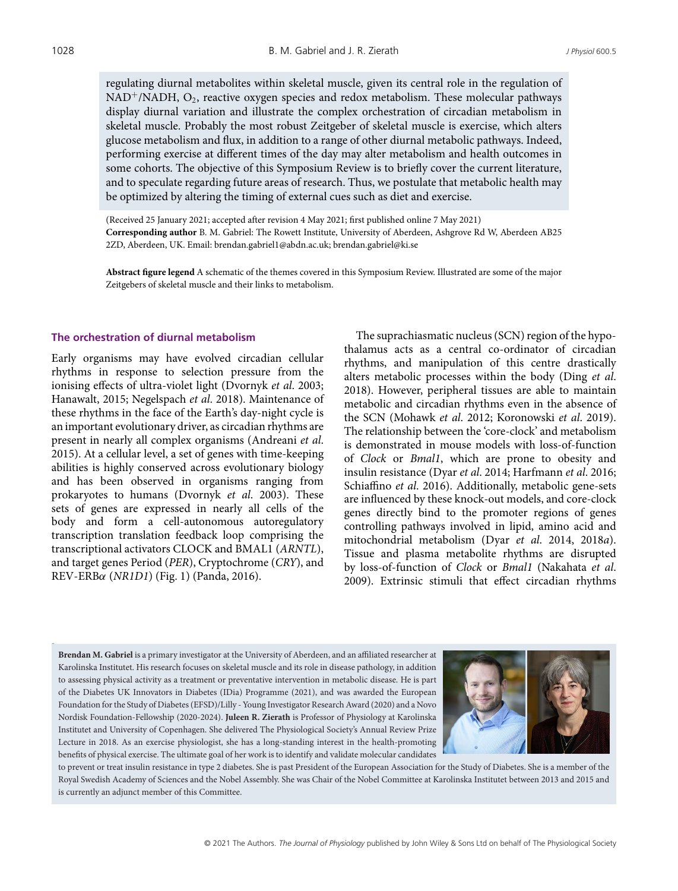regulating diurnal metabolites within skeletal muscle, given its central role in the regulation of  $NAD^{+}/NADH$ ,  $O_2$ , reactive oxygen species and redox metabolism. These molecular pathways display diurnal variation and illustrate the complex orchestration of circadian metabolism in skeletal muscle. Probably the most robust Zeitgeber of skeletal muscle is exercise, which alters glucose metabolism and flux, in addition to a range of other diurnal metabolic pathways. Indeed, performing exercise at different times of the day may alter metabolism and health outcomes in some cohorts. The objective of this Symposium Review is to briefly cover the current literature, and to speculate regarding future areas of research. Thus, we postulate that metabolic health may be optimized by altering the timing of external cues such as diet and exercise.

(Received 25 January 2021; accepted after revision 4 May 2021; first published online 7 May 2021) **Corresponding author** B. M. Gabriel: The Rowett Institute, University of Aberdeen, Ashgrove Rd W, Aberdeen AB25 2ZD, Aberdeen, UK. Email: brendan.gabriel1@abdn.ac.uk; brendan.gabriel@ki.se

**Abstract figure legend** A schematic of the themes covered in this Symposium Review. Illustrated are some of the major Zeitgebers of skeletal muscle and their links to metabolism.

## **The orchestration of diurnal metabolism**

Early organisms may have evolved circadian cellular rhythms in response to selection pressure from the ionising effects of ultra-violet light (Dvornyk *et al*. 2003; Hanawalt, 2015; Negelspach *et al*. 2018). Maintenance of these rhythms in the face of the Earth's day-night cycle is an important evolutionary driver, as circadian rhythms are present in nearly all complex organisms (Andreani *et al*. 2015). At a cellular level, a set of genes with time-keeping abilities is highly conserved across evolutionary biology and has been observed in organisms ranging from prokaryotes to humans (Dvornyk *et al*. 2003). These sets of genes are expressed in nearly all cells of the body and form a cell-autonomous autoregulatory transcription translation feedback loop comprising the transcriptional activators CLOCK and BMAL1 (*ARNTL*), and target genes Period (*PER*), Cryptochrome (*CRY*), and REV-ERBα (*NR1D1*) (Fig. 1) (Panda, 2016).

The suprachiasmatic nucleus (SCN) region of the hypothalamus acts as a central co-ordinator of circadian rhythms, and manipulation of this centre drastically alters metabolic processes within the body (Ding *et al*. 2018). However, peripheral tissues are able to maintain metabolic and circadian rhythms even in the absence of the SCN (Mohawk *et al*. 2012; Koronowski *et al*. 2019). The relationship between the 'core-clock' and metabolism is demonstrated in mouse models with loss-of-function of *Clock* or *Bmal1*, which are prone to obesity and insulin resistance (Dyar *et al*. 2014; Harfmann *et al*. 2016; Schiaffino *et al*. 2016). Additionally, metabolic gene-sets are influenced by these knock-out models, and core-clock genes directly bind to the promoter regions of genes controlling pathways involved in lipid, amino acid and mitochondrial metabolism (Dyar *et al*. 2014, 2018*a*). Tissue and plasma metabolite rhythms are disrupted by loss-of-function of *Clock* or *Bmal1* (Nakahata *et al*. 2009). Extrinsic stimuli that effect circadian rhythms

**Brendan M. Gabriel** is a primary investigator at the University of Aberdeen, and an affiliated researcher at Karolinska Institutet. His research focuses on skeletal muscle and its role in disease pathology, in addition to assessing physical activity as a treatment or preventative intervention in metabolic disease. He is part of the Diabetes UK Innovators in Diabetes (IDia) Programme (2021), and was awarded the European Foundation for the Study of Diabetes (EFSD)/Lilly - Young Investigator Research Award (2020) and a Novo Nordisk Foundation-Fellowship (2020-2024). **Juleen R. Zierath** is Professor of Physiology at Karolinska Institutet and University of Copenhagen. She delivered The Physiological Society's Annual Review Prize Lecture in 2018. As an exercise physiologist, she has a long-standing interest in the health-promoting benefits of physical exercise. The ultimate goal of her work is to identify and validate molecular candidates



to prevent or treat insulin resistance in type 2 diabetes. She is past President of the European Association for the Study of Diabetes. She is a member of the Royal Swedish Academy of Sciences and the Nobel Assembly. She was Chair of the Nobel Committee at Karolinska Institutet between 2013 and 2015 and is currently an adjunct member of this Committee.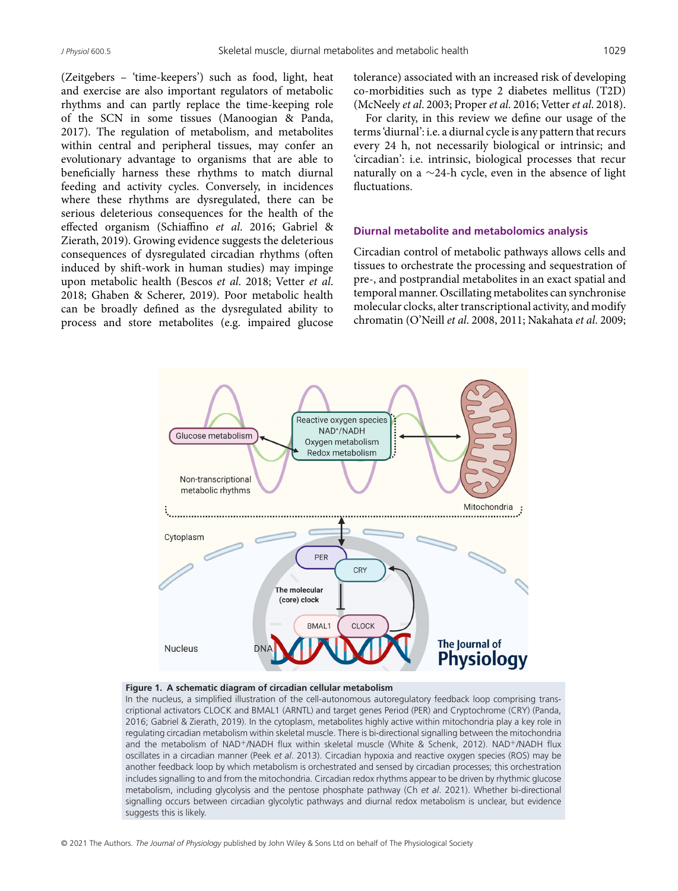(Zeitgebers – 'time-keepers') such as food, light, heat and exercise are also important regulators of metabolic rhythms and can partly replace the time-keeping role of the SCN in some tissues (Manoogian & Panda, 2017). The regulation of metabolism, and metabolites within central and peripheral tissues, may confer an evolutionary advantage to organisms that are able to beneficially harness these rhythms to match diurnal feeding and activity cycles. Conversely, in incidences where these rhythms are dysregulated, there can be serious deleterious consequences for the health of the effected organism (Schiaffino *et al*. 2016; Gabriel & Zierath, 2019). Growing evidence suggests the deleterious consequences of dysregulated circadian rhythms (often induced by shift-work in human studies) may impinge upon metabolic health (Bescos *et al*. 2018; Vetter *et al*. 2018; Ghaben & Scherer, 2019). Poor metabolic health can be broadly defined as the dysregulated ability to process and store metabolites (e.g. impaired glucose tolerance) associated with an increased risk of developing co-morbidities such as type 2 diabetes mellitus (T2D) (McNeely *et al*. 2003; Proper *et al*. 2016; Vetter *et al*. 2018).

For clarity, in this review we define our usage of the terms 'diurnal': i.e. a diurnal cycle is any pattern that recurs every 24 h, not necessarily biological or intrinsic; and 'circadian': i.e. intrinsic, biological processes that recur naturally on a ∼24-h cycle, even in the absence of light fluctuations.

#### **Diurnal metabolite and metabolomics analysis**

Circadian control of metabolic pathways allows cells and tissues to orchestrate the processing and sequestration of pre-, and postprandial metabolites in an exact spatial and temporal manner. Oscillating metabolites can synchronise molecular clocks, alter transcriptional activity, and modify chromatin (O'Neill *et al*. 2008, 2011; Nakahata *et al*. 2009;



#### **Figure 1. A schematic diagram of circadian cellular metabolism**

In the nucleus, a simplified illustration of the cell-autonomous autoregulatory feedback loop comprising transcriptional activators CLOCK and BMAL1 (ARNTL) and target genes Period (PER) and Cryptochrome (CRY) (Panda, 2016; Gabriel & Zierath, 2019). In the cytoplasm, metabolites highly active within mitochondria play a key role in regulating circadian metabolism within skeletal muscle. There is bi-directional signalling between the mitochondria and the metabolism of NAD+/NADH flux within skeletal muscle (White & Schenk, 2012). NAD+/NADH flux oscillates in a circadian manner (Peek *et al*. 2013). Circadian hypoxia and reactive oxygen species (ROS) may be another feedback loop by which metabolism is orchestrated and sensed by circadian processes; this orchestration includes signalling to and from the mitochondria. Circadian redox rhythms appear to be driven by rhythmic glucose metabolism, including glycolysis and the pentose phosphate pathway (Ch *et al*. 2021). Whether bi-directional signalling occurs between circadian glycolytic pathways and diurnal redox metabolism is unclear, but evidence suggests this is likely.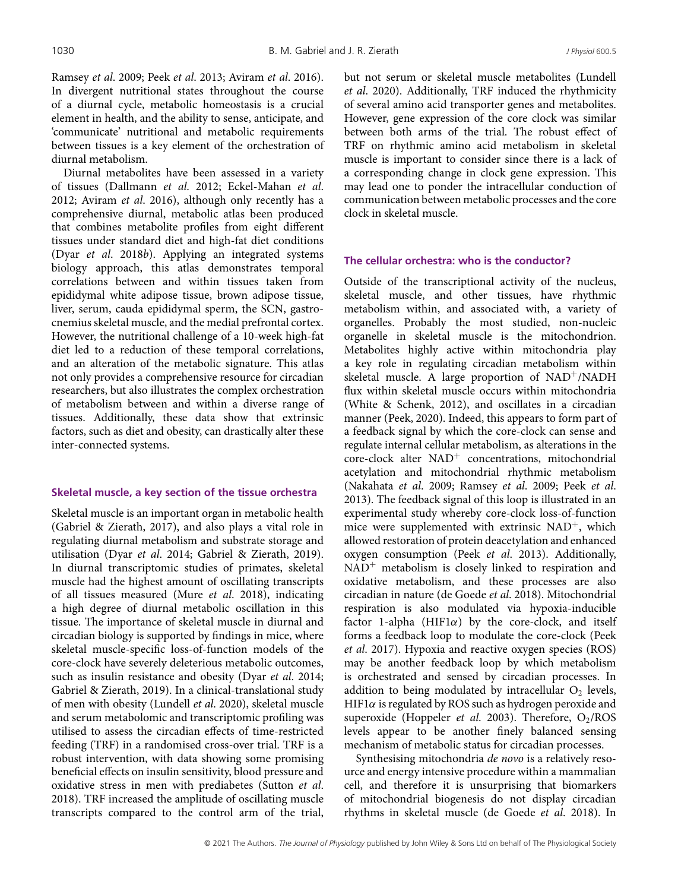Ramsey *et al*. 2009; Peek *et al*. 2013; Aviram *et al*. 2016). In divergent nutritional states throughout the course of a diurnal cycle, metabolic homeostasis is a crucial element in health, and the ability to sense, anticipate, and 'communicate' nutritional and metabolic requirements between tissues is a key element of the orchestration of diurnal metabolism.

Diurnal metabolites have been assessed in a variety of tissues (Dallmann *et al*. 2012; Eckel-Mahan *et al*. 2012; Aviram *et al*. 2016), although only recently has a comprehensive diurnal, metabolic atlas been produced that combines metabolite profiles from eight different tissues under standard diet and high-fat diet conditions (Dyar *et al*. 2018*b*). Applying an integrated systems biology approach, this atlas demonstrates temporal correlations between and within tissues taken from epididymal white adipose tissue, brown adipose tissue, liver, serum, cauda epididymal sperm, the SCN, gastrocnemius skeletal muscle, and the medial prefrontal cortex. However, the nutritional challenge of a 10-week high-fat diet led to a reduction of these temporal correlations, and an alteration of the metabolic signature. This atlas not only provides a comprehensive resource for circadian researchers, but also illustrates the complex orchestration of metabolism between and within a diverse range of tissues. Additionally, these data show that extrinsic factors, such as diet and obesity, can drastically alter these inter-connected systems.

## **Skeletal muscle, a key section of the tissue orchestra**

Skeletal muscle is an important organ in metabolic health (Gabriel & Zierath, 2017), and also plays a vital role in regulating diurnal metabolism and substrate storage and utilisation (Dyar *et al*. 2014; Gabriel & Zierath, 2019). In diurnal transcriptomic studies of primates, skeletal muscle had the highest amount of oscillating transcripts of all tissues measured (Mure *et al*. 2018), indicating a high degree of diurnal metabolic oscillation in this tissue. The importance of skeletal muscle in diurnal and circadian biology is supported by findings in mice, where skeletal muscle-specific loss-of-function models of the core-clock have severely deleterious metabolic outcomes, such as insulin resistance and obesity (Dyar *et al*. 2014; Gabriel & Zierath, 2019). In a clinical-translational study of men with obesity (Lundell *et al*. 2020), skeletal muscle and serum metabolomic and transcriptomic profiling was utilised to assess the circadian effects of time-restricted feeding (TRF) in a randomised cross-over trial. TRF is a robust intervention, with data showing some promising beneficial effects on insulin sensitivity, blood pressure and oxidative stress in men with prediabetes (Sutton *et al*. 2018). TRF increased the amplitude of oscillating muscle transcripts compared to the control arm of the trial, but not serum or skeletal muscle metabolites (Lundell *et al*. 2020). Additionally, TRF induced the rhythmicity of several amino acid transporter genes and metabolites. However, gene expression of the core clock was similar between both arms of the trial. The robust effect of TRF on rhythmic amino acid metabolism in skeletal muscle is important to consider since there is a lack of a corresponding change in clock gene expression. This may lead one to ponder the intracellular conduction of communication between metabolic processes and the core clock in skeletal muscle.

#### **The cellular orchestra: who is the conductor?**

Outside of the transcriptional activity of the nucleus, skeletal muscle, and other tissues, have rhythmic metabolism within, and associated with, a variety of organelles. Probably the most studied, non-nucleic organelle in skeletal muscle is the mitochondrion. Metabolites highly active within mitochondria play a key role in regulating circadian metabolism within skeletal muscle. A large proportion of NAD<sup>+</sup>/NADH flux within skeletal muscle occurs within mitochondria (White & Schenk, 2012), and oscillates in a circadian manner (Peek, 2020). Indeed, this appears to form part of a feedback signal by which the core-clock can sense and regulate internal cellular metabolism, as alterations in the core-clock alter NAD<sup>+</sup> concentrations, mitochondrial acetylation and mitochondrial rhythmic metabolism (Nakahata *et al*. 2009; Ramsey *et al*. 2009; Peek *et al*. 2013). The feedback signal of this loop is illustrated in an experimental study whereby core-clock loss-of-function mice were supplemented with extrinsic  $NAD^{+}$ , which allowed restoration of protein deacetylation and enhanced oxygen consumption (Peek *et al*. 2013). Additionally,  $NAD<sup>+</sup>$  metabolism is closely linked to respiration and oxidative metabolism, and these processes are also circadian in nature (de Goede *et al*. 2018). Mitochondrial respiration is also modulated via hypoxia-inducible factor 1-alpha ( $HIF1\alpha$ ) by the core-clock, and itself forms a feedback loop to modulate the core-clock (Peek *et al*. 2017). Hypoxia and reactive oxygen species (ROS) may be another feedback loop by which metabolism is orchestrated and sensed by circadian processes. In addition to being modulated by intracellular  $O_2$  levels, HIF1 $\alpha$  is regulated by ROS such as hydrogen peroxide and superoxide (Hoppeler *et al.* 2003). Therefore, O<sub>2</sub>/ROS levels appear to be another finely balanced sensing mechanism of metabolic status for circadian processes.

Synthesising mitochondria *de novo* is a relatively resource and energy intensive procedure within a mammalian cell, and therefore it is unsurprising that biomarkers of mitochondrial biogenesis do not display circadian rhythms in skeletal muscle (de Goede *et al*. 2018). In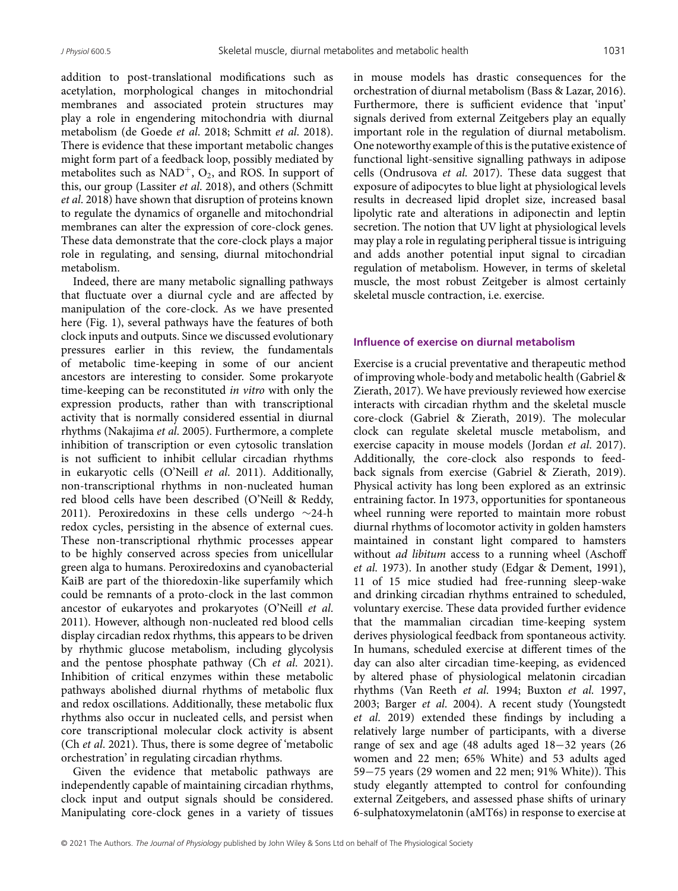addition to post-translational modifications such as acetylation, morphological changes in mitochondrial membranes and associated protein structures may play a role in engendering mitochondria with diurnal metabolism (de Goede *et al*. 2018; Schmitt *et al*. 2018). There is evidence that these important metabolic changes might form part of a feedback loop, possibly mediated by metabolites such as  $NAD^{+}$ ,  $O_2$ , and ROS. In support of this, our group (Lassiter *et al*. 2018), and others (Schmitt *et al*. 2018) have shown that disruption of proteins known to regulate the dynamics of organelle and mitochondrial membranes can alter the expression of core-clock genes. These data demonstrate that the core-clock plays a major role in regulating, and sensing, diurnal mitochondrial metabolism.

Indeed, there are many metabolic signalling pathways that fluctuate over a diurnal cycle and are affected by manipulation of the core-clock. As we have presented here (Fig. 1), several pathways have the features of both clock inputs and outputs. Since we discussed evolutionary pressures earlier in this review, the fundamentals of metabolic time-keeping in some of our ancient ancestors are interesting to consider. Some prokaryote time-keeping can be reconstituted *in vitro* with only the expression products, rather than with transcriptional activity that is normally considered essential in diurnal rhythms (Nakajima *et al*. 2005). Furthermore, a complete inhibition of transcription or even cytosolic translation is not sufficient to inhibit cellular circadian rhythms in eukaryotic cells (O'Neill *et al*. 2011). Additionally, non-transcriptional rhythms in non-nucleated human red blood cells have been described (O'Neill & Reddy, 2011). Peroxiredoxins in these cells undergo ∼24-h redox cycles, persisting in the absence of external cues. These non-transcriptional rhythmic processes appear to be highly conserved across species from unicellular green alga to humans. Peroxiredoxins and cyanobacterial KaiB are part of the thioredoxin-like superfamily which could be remnants of a proto-clock in the last common ancestor of eukaryotes and prokaryotes (O'Neill *et al*. 2011). However, although non-nucleated red blood cells display circadian redox rhythms, this appears to be driven by rhythmic glucose metabolism, including glycolysis and the pentose phosphate pathway (Ch *et al*. 2021). Inhibition of critical enzymes within these metabolic pathways abolished diurnal rhythms of metabolic flux and redox oscillations. Additionally, these metabolic flux rhythms also occur in nucleated cells, and persist when core transcriptional molecular clock activity is absent (Ch *et al*. 2021). Thus, there is some degree of 'metabolic orchestration' in regulating circadian rhythms.

Given the evidence that metabolic pathways are independently capable of maintaining circadian rhythms, clock input and output signals should be considered. Manipulating core-clock genes in a variety of tissues in mouse models has drastic consequences for the orchestration of diurnal metabolism (Bass & Lazar, 2016). Furthermore, there is sufficient evidence that 'input' signals derived from external Zeitgebers play an equally important role in the regulation of diurnal metabolism. One noteworthy example of this is the putative existence of functional light-sensitive signalling pathways in adipose cells (Ondrusova *et al*. 2017). These data suggest that exposure of adipocytes to blue light at physiological levels results in decreased lipid droplet size, increased basal lipolytic rate and alterations in adiponectin and leptin secretion. The notion that UV light at physiological levels may play a role in regulating peripheral tissue is intriguing and adds another potential input signal to circadian regulation of metabolism. However, in terms of skeletal muscle, the most robust Zeitgeber is almost certainly skeletal muscle contraction, i.e. exercise.

# **Influence of exercise on diurnal metabolism**

Exercise is a crucial preventative and therapeutic method of improving whole-body and metabolic health (Gabriel & Zierath, 2017). We have previously reviewed how exercise interacts with circadian rhythm and the skeletal muscle core-clock (Gabriel & Zierath, 2019). The molecular clock can regulate skeletal muscle metabolism, and exercise capacity in mouse models (Jordan *et al*. 2017). Additionally, the core-clock also responds to feedback signals from exercise (Gabriel & Zierath, 2019). Physical activity has long been explored as an extrinsic entraining factor. In 1973, opportunities for spontaneous wheel running were reported to maintain more robust diurnal rhythms of locomotor activity in golden hamsters maintained in constant light compared to hamsters without *ad libitum* access to a running wheel (Aschoff *et al*. 1973). In another study (Edgar & Dement, 1991), 11 of 15 mice studied had free-running sleep-wake and drinking circadian rhythms entrained to scheduled, voluntary exercise. These data provided further evidence that the mammalian circadian time-keeping system derives physiological feedback from spontaneous activity. In humans, scheduled exercise at different times of the day can also alter circadian time-keeping, as evidenced by altered phase of physiological melatonin circadian rhythms (Van Reeth *et al*. 1994; Buxton *et al*. 1997, 2003; Barger *et al*. 2004). A recent study (Youngstedt *et al*. 2019) extended these findings by including a relatively large number of participants, with a diverse range of sex and age (48 adults aged 18−32 years (26 women and 22 men; 65% White) and 53 adults aged 59−75 years (29 women and 22 men; 91% White)). This study elegantly attempted to control for confounding external Zeitgebers, and assessed phase shifts of urinary 6-sulphatoxymelatonin (aMT6s) in response to exercise at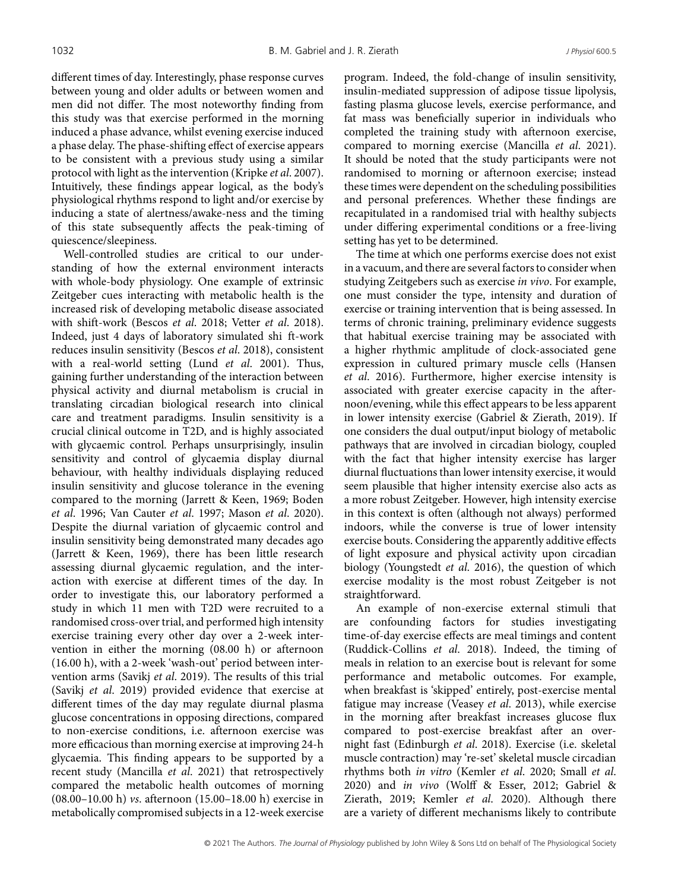different times of day. Interestingly, phase response curves between young and older adults or between women and men did not differ. The most noteworthy finding from this study was that exercise performed in the morning induced a phase advance, whilst evening exercise induced a phase delay. The phase-shifting effect of exercise appears to be consistent with a previous study using a similar protocol with light as the intervention (Kripke *et al*. 2007). Intuitively, these findings appear logical, as the body's physiological rhythms respond to light and/or exercise by inducing a state of alertness/awake-ness and the timing of this state subsequently affects the peak-timing of quiescence/sleepiness.

Well-controlled studies are critical to our understanding of how the external environment interacts with whole-body physiology. One example of extrinsic Zeitgeber cues interacting with metabolic health is the increased risk of developing metabolic disease associated with shift-work (Bescos *et al*. 2018; Vetter *et al*. 2018). Indeed, just 4 days of laboratory simulated shi ft-work reduces insulin sensitivity (Bescos *et al*. 2018), consistent with a real-world setting (Lund *et al*. 2001). Thus, gaining further understanding of the interaction between physical activity and diurnal metabolism is crucial in translating circadian biological research into clinical care and treatment paradigms. Insulin sensitivity is a crucial clinical outcome in T2D, and is highly associated with glycaemic control. Perhaps unsurprisingly, insulin sensitivity and control of glycaemia display diurnal behaviour, with healthy individuals displaying reduced insulin sensitivity and glucose tolerance in the evening compared to the morning (Jarrett & Keen, 1969; Boden *et al*. 1996; Van Cauter *et al*. 1997; Mason *et al*. 2020). Despite the diurnal variation of glycaemic control and insulin sensitivity being demonstrated many decades ago (Jarrett & Keen, 1969), there has been little research assessing diurnal glycaemic regulation, and the interaction with exercise at different times of the day. In order to investigate this, our laboratory performed a study in which 11 men with T2D were recruited to a randomised cross-over trial, and performed high intensity exercise training every other day over a 2-week intervention in either the morning (08.00 h) or afternoon (16.00 h), with a 2-week 'wash-out' period between intervention arms (Savikj *et al*. 2019). The results of this trial (Savikj *et al*. 2019) provided evidence that exercise at different times of the day may regulate diurnal plasma glucose concentrations in opposing directions, compared to non-exercise conditions, i.e. afternoon exercise was more efficacious than morning exercise at improving 24-h glycaemia. This finding appears to be supported by a recent study (Mancilla *et al*. 2021) that retrospectively compared the metabolic health outcomes of morning (08.00–10.00 h) *vs*. afternoon (15.00–18.00 h) exercise in metabolically compromised subjects in a 12-week exercise

program. Indeed, the fold-change of insulin sensitivity, insulin-mediated suppression of adipose tissue lipolysis, fasting plasma glucose levels, exercise performance, and fat mass was beneficially superior in individuals who completed the training study with afternoon exercise, compared to morning exercise (Mancilla *et al*. 2021). It should be noted that the study participants were not randomised to morning or afternoon exercise; instead these times were dependent on the scheduling possibilities and personal preferences. Whether these findings are recapitulated in a randomised trial with healthy subjects under differing experimental conditions or a free-living setting has yet to be determined.

The time at which one performs exercise does not exist in a vacuum, and there are several factors to consider when studying Zeitgebers such as exercise *in vivo*. For example, one must consider the type, intensity and duration of exercise or training intervention that is being assessed. In terms of chronic training, preliminary evidence suggests that habitual exercise training may be associated with a higher rhythmic amplitude of clock-associated gene expression in cultured primary muscle cells (Hansen *et al*. 2016). Furthermore, higher exercise intensity is associated with greater exercise capacity in the afternoon/evening, while this effect appears to be less apparent in lower intensity exercise (Gabriel & Zierath, 2019). If one considers the dual output/input biology of metabolic pathways that are involved in circadian biology, coupled with the fact that higher intensity exercise has larger diurnal fluctuations than lower intensity exercise, it would seem plausible that higher intensity exercise also acts as a more robust Zeitgeber. However, high intensity exercise in this context is often (although not always) performed indoors, while the converse is true of lower intensity exercise bouts. Considering the apparently additive effects of light exposure and physical activity upon circadian biology (Youngstedt *et al*. 2016), the question of which exercise modality is the most robust Zeitgeber is not straightforward.

An example of non-exercise external stimuli that are confounding factors for studies investigating time-of-day exercise effects are meal timings and content (Ruddick-Collins *et al*. 2018). Indeed, the timing of meals in relation to an exercise bout is relevant for some performance and metabolic outcomes. For example, when breakfast is 'skipped' entirely, post-exercise mental fatigue may increase (Veasey *et al*. 2013), while exercise in the morning after breakfast increases glucose flux compared to post-exercise breakfast after an overnight fast (Edinburgh *et al*. 2018). Exercise (i.e. skeletal muscle contraction) may 're-set' skeletal muscle circadian rhythms both *in vitro* (Kemler *et al*. 2020; Small *et al*. 2020) and *in vivo* (Wolff & Esser, 2012; Gabriel & Zierath, 2019; Kemler *et al*. 2020). Although there are a variety of different mechanisms likely to contribute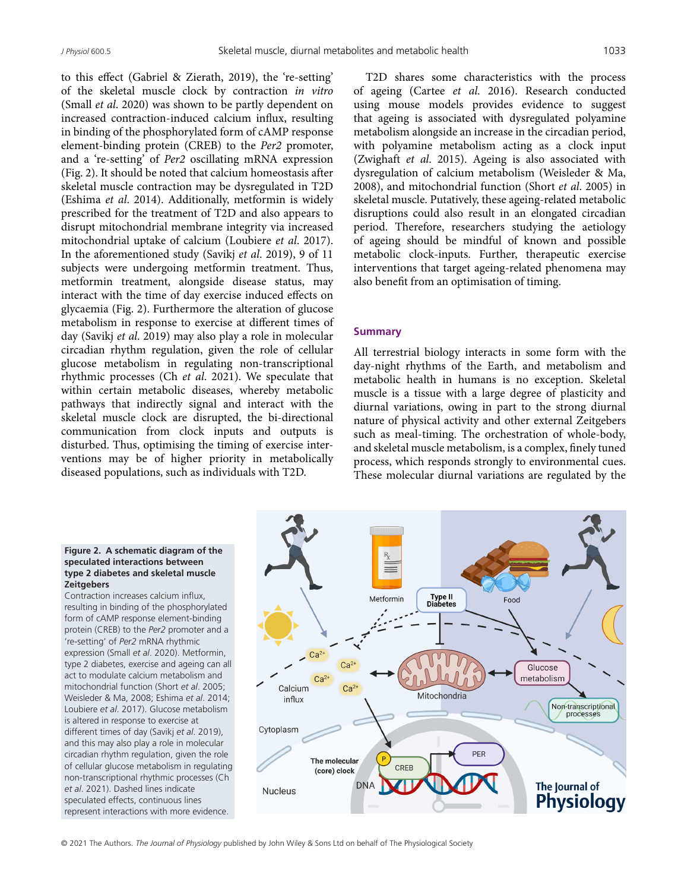to this effect (Gabriel & Zierath, 2019), the 're-setting' of the skeletal muscle clock by contraction *in vitro* (Small *et al*. 2020) was shown to be partly dependent on increased contraction-induced calcium influx, resulting in binding of the phosphorylated form of cAMP response element-binding protein (CREB) to the *Per2* promoter, and a 're-setting' of *Per2* oscillating mRNA expression (Fig. 2). It should be noted that calcium homeostasis after skeletal muscle contraction may be dysregulated in T2D (Eshima *et al*. 2014). Additionally, metformin is widely prescribed for the treatment of T2D and also appears to disrupt mitochondrial membrane integrity via increased mitochondrial uptake of calcium (Loubiere *et al*. 2017). In the aforementioned study (Savikj *et al*. 2019), 9 of 11 subjects were undergoing metformin treatment. Thus, metformin treatment, alongside disease status, may interact with the time of day exercise induced effects on glycaemia (Fig. 2). Furthermore the alteration of glucose metabolism in response to exercise at different times of day (Savikj *et al*. 2019) may also play a role in molecular circadian rhythm regulation, given the role of cellular glucose metabolism in regulating non-transcriptional rhythmic processes (Ch *et al*. 2021). We speculate that within certain metabolic diseases, whereby metabolic pathways that indirectly signal and interact with the skeletal muscle clock are disrupted, the bi-directional communication from clock inputs and outputs is disturbed. Thus, optimising the timing of exercise interventions may be of higher priority in metabolically diseased populations, such as individuals with T2D.

T2D shares some characteristics with the process of ageing (Cartee *et al*. 2016). Research conducted using mouse models provides evidence to suggest that ageing is associated with dysregulated polyamine metabolism alongside an increase in the circadian period, with polyamine metabolism acting as a clock input (Zwighaft *et al*. 2015). Ageing is also associated with dysregulation of calcium metabolism (Weisleder & Ma, 2008), and mitochondrial function (Short *et al*. 2005) in skeletal muscle. Putatively, these ageing-related metabolic disruptions could also result in an elongated circadian period. Therefore, researchers studying the aetiology of ageing should be mindful of known and possible metabolic clock-inputs. Further, therapeutic exercise interventions that target ageing-related phenomena may also benefit from an optimisation of timing.

#### **Summary**

All terrestrial biology interacts in some form with the day-night rhythms of the Earth, and metabolism and metabolic health in humans is no exception. Skeletal muscle is a tissue with a large degree of plasticity and diurnal variations, owing in part to the strong diurnal nature of physical activity and other external Zeitgebers such as meal-timing. The orchestration of whole-body, and skeletal muscle metabolism, is a complex, finely tuned process, which responds strongly to environmental cues. These molecular diurnal variations are regulated by the

#### **Figure 2. A schematic diagram of the speculated interactions between type 2 diabetes and skeletal muscle Zeitgebers**

Contraction increases calcium influx, resulting in binding of the phosphorylated form of cAMP response element-binding protein (CREB) to the *Per2* promoter and a 're-setting' of *Per2* mRNA rhythmic expression (Small *et al*. 2020). Metformin, type 2 diabetes, exercise and ageing can all act to modulate calcium metabolism and mitochondrial function (Short *et al*. 2005; Weisleder & Ma, 2008; Eshima *et al*. 2014; Loubiere *et al*. 2017). Glucose metabolism is altered in response to exercise at different times of day (Savikj *et al*. 2019), and this may also play a role in molecular circadian rhythm regulation, given the role of cellular glucose metabolism in regulating non-transcriptional rhythmic processes (Ch *et al*. 2021). Dashed lines indicate speculated effects, continuous lines represent interactions with more evidence.

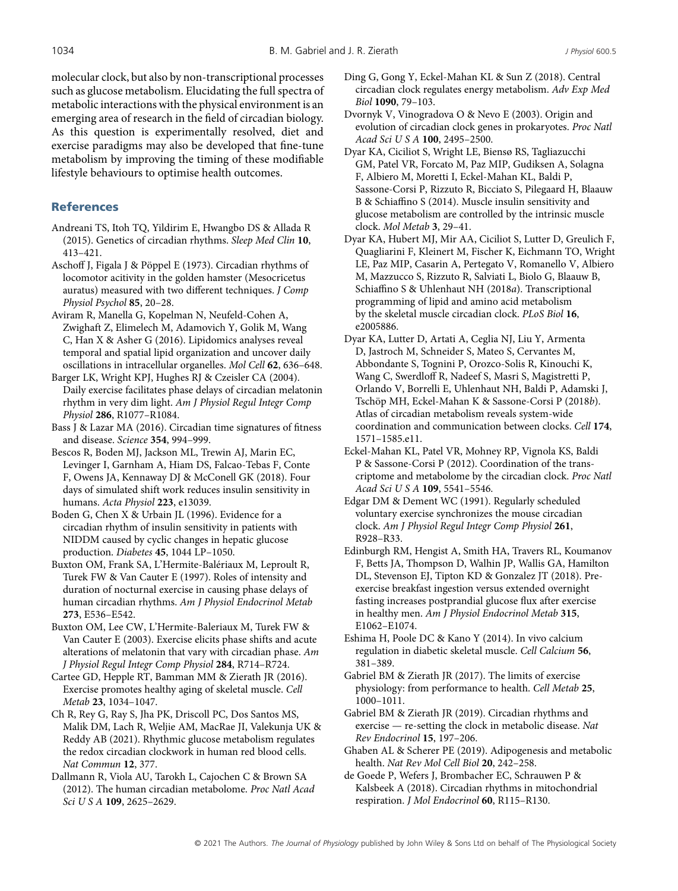molecular clock, but also by non-transcriptional processes such as glucose metabolism. Elucidating the full spectra of metabolic interactions with the physical environment is an emerging area of research in the field of circadian biology. As this question is experimentally resolved, diet and exercise paradigms may also be developed that fine-tune metabolism by improving the timing of these modifiable lifestyle behaviours to optimise health outcomes.

# **References**

- Andreani TS, Itoh TQ, Yildirim E, Hwangbo DS & Allada R (2015). Genetics of circadian rhythms. *Sleep Med Clin* **10**, 413–421.
- Aschoff J, Figala J & Pöppel E (1973). Circadian rhythms of locomotor acitivity in the golden hamster (Mesocricetus auratus) measured with two different techniques. *J Comp Physiol Psychol* **85**, 20–28.
- Aviram R, Manella G, Kopelman N, Neufeld-Cohen A, Zwighaft Z, Elimelech M, Adamovich Y, Golik M, Wang C, Han X & Asher G (2016). Lipidomics analyses reveal temporal and spatial lipid organization and uncover daily oscillations in intracellular organelles. *Mol Cell* **62**, 636–648.
- Barger LK, Wright KPJ, Hughes RJ & Czeisler CA (2004). Daily exercise facilitates phase delays of circadian melatonin rhythm in very dim light. *Am J Physiol Regul Integr Comp Physiol* **286**, R1077–R1084.
- Bass J & Lazar MA (2016). Circadian time signatures of fitness and disease. *Science* **354**, 994–999.
- Bescos R, Boden MJ, Jackson ML, Trewin AJ, Marin EC, Levinger I, Garnham A, Hiam DS, Falcao-Tebas F, Conte F, Owens JA, Kennaway DJ & McConell GK (2018). Four days of simulated shift work reduces insulin sensitivity in humans. *Acta Physiol* **223**, e13039.
- Boden G, Chen X & Urbain JL (1996). Evidence for a circadian rhythm of insulin sensitivity in patients with NIDDM caused by cyclic changes in hepatic glucose production. *Diabetes* **45**, 1044 LP–1050.
- Buxton OM, Frank SA, L'Hermite-Balériaux M, Leproult R, Turek FW & Van Cauter E (1997). Roles of intensity and duration of nocturnal exercise in causing phase delays of human circadian rhythms. *Am J Physiol Endocrinol Metab* **273**, E536–E542.
- Buxton OM, Lee CW, L'Hermite-Baleriaux M, Turek FW & Van Cauter E (2003). Exercise elicits phase shifts and acute alterations of melatonin that vary with circadian phase. *Am J Physiol Regul Integr Comp Physiol* **284**, R714–R724.
- Cartee GD, Hepple RT, Bamman MM & Zierath JR (2016). Exercise promotes healthy aging of skeletal muscle. *Cell Metab* **23**, 1034–1047.
- Ch R, Rey G, Ray S, Jha PK, Driscoll PC, Dos Santos MS, Malik DM, Lach R, Weljie AM, MacRae JI, Valekunja UK & Reddy AB (2021). Rhythmic glucose metabolism regulates the redox circadian clockwork in human red blood cells. *Nat Commun* **12**, 377.
- Dallmann R, Viola AU, Tarokh L, Cajochen C & Brown SA (2012). The human circadian metabolome. *Proc Natl Acad Sci U S A* **109**, 2625–2629.
- Ding G, Gong Y, Eckel-Mahan KL & Sun Z (2018). Central circadian clock regulates energy metabolism. *Adv Exp Med Biol* **1090**, 79–103.
- Dvornyk V, Vinogradova O & Nevo E (2003). Origin and evolution of circadian clock genes in prokaryotes. *Proc Natl Acad Sci U S A* **100**, 2495–2500.
- Dyar KA, Ciciliot S, Wright LE, Biensø RS, Tagliazucchi GM, Patel VR, Forcato M, Paz MIP, Gudiksen A, Solagna F, Albiero M, Moretti I, Eckel-Mahan KL, Baldi P, Sassone-Corsi P, Rizzuto R, Bicciato S, Pilegaard H, Blaauw B & Schiaffino S (2014). Muscle insulin sensitivity and glucose metabolism are controlled by the intrinsic muscle clock. *Mol Metab* **3**, 29–41.
- Dyar KA, Hubert MJ, Mir AA, Ciciliot S, Lutter D, Greulich F, Quagliarini F, Kleinert M, Fischer K, Eichmann TO, Wright LE, Paz MIP, Casarin A, Pertegato V, Romanello V, Albiero M, Mazzucco S, Rizzuto R, Salviati L, Biolo G, Blaauw B, Schiaffino S & Uhlenhaut NH (2018*a*). Transcriptional programming of lipid and amino acid metabolism by the skeletal muscle circadian clock. *PLoS Biol* **16**, e2005886.
- Dyar KA, Lutter D, Artati A, Ceglia NJ, Liu Y, Armenta D, Jastroch M, Schneider S, Mateo S, Cervantes M, Abbondante S, Tognini P, Orozco-Solis R, Kinouchi K, Wang C, Swerdloff R, Nadeef S, Masri S, Magistretti P, Orlando V, Borrelli E, Uhlenhaut NH, Baldi P, Adamski J, Tschöp MH, Eckel-Mahan K & Sassone-Corsi P (2018*b*). Atlas of circadian metabolism reveals system-wide coordination and communication between clocks. *Cell* **174**, 1571–1585.e11.
- Eckel-Mahan KL, Patel VR, Mohney RP, Vignola KS, Baldi P & Sassone-Corsi P (2012). Coordination of the transcriptome and metabolome by the circadian clock. *Proc Natl Acad Sci U S A* **109**, 5541–5546.
- Edgar DM & Dement WC (1991). Regularly scheduled voluntary exercise synchronizes the mouse circadian clock. *Am J Physiol Regul Integr Comp Physiol* **261**, R928–R33.
- Edinburgh RM, Hengist A, Smith HA, Travers RL, Koumanov F, Betts JA, Thompson D, Walhin JP, Wallis GA, Hamilton DL, Stevenson EJ, Tipton KD & Gonzalez JT (2018). Preexercise breakfast ingestion versus extended overnight fasting increases postprandial glucose flux after exercise in healthy men. *Am J Physiol Endocrinol Metab* **315**, E1062–E1074.
- Eshima H, Poole DC & Kano Y (2014). In vivo calcium regulation in diabetic skeletal muscle. *Cell Calcium* **56**, 381–389.
- Gabriel BM & Zierath JR (2017). The limits of exercise physiology: from performance to health. *Cell Metab* **25**, 1000–1011.
- Gabriel BM & Zierath JR (2019). Circadian rhythms and exercise — re-setting the clock in metabolic disease. *Nat Rev Endocrinol* **15**, 197–206.
- Ghaben AL & Scherer PE (2019). Adipogenesis and metabolic health. *Nat Rev Mol Cell Biol* **20**, 242–258.
- de Goede P, Wefers J, Brombacher EC, Schrauwen P & Kalsbeek A (2018). Circadian rhythms in mitochondrial respiration. *J Mol Endocrinol* **60**, R115–R130.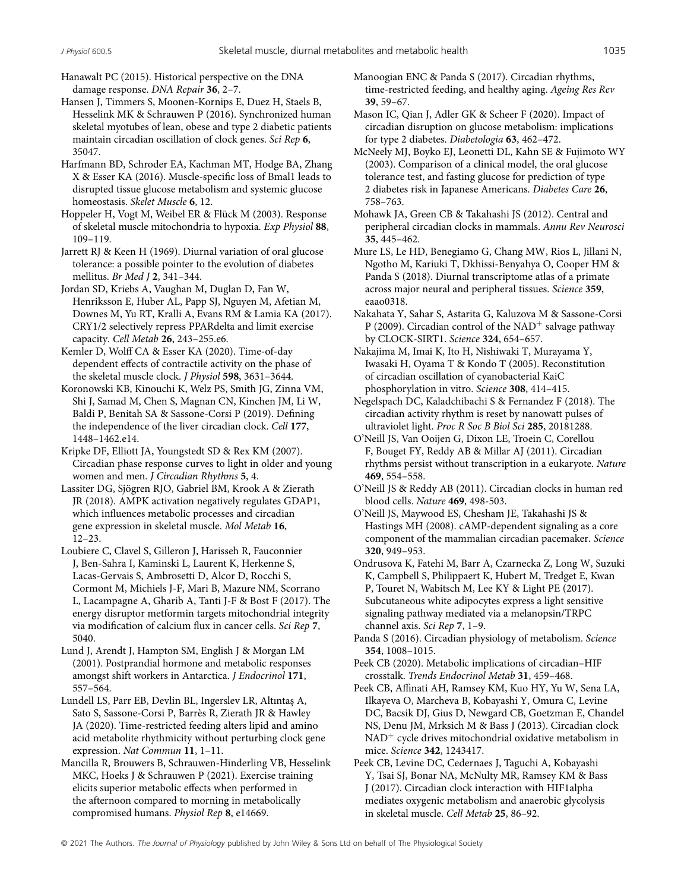Hanawalt PC (2015). Historical perspective on the DNA damage response. *DNA Repair* **36**, 2–7.

Hansen J, Timmers S, Moonen-Kornips E, Duez H, Staels B, Hesselink MK & Schrauwen P (2016). Synchronized human skeletal myotubes of lean, obese and type 2 diabetic patients maintain circadian oscillation of clock genes. *Sci Rep* **6**, 35047.

Harfmann BD, Schroder EA, Kachman MT, Hodge BA, Zhang X & Esser KA (2016). Muscle-specific loss of Bmal1 leads to disrupted tissue glucose metabolism and systemic glucose homeostasis. *Skelet Muscle* **6**, 12.

Hoppeler H, Vogt M, Weibel ER & Flück M (2003). Response of skeletal muscle mitochondria to hypoxia. *Exp Physiol* **88**, 109–119.

Jarrett RJ & Keen H (1969). Diurnal variation of oral glucose tolerance: a possible pointer to the evolution of diabetes mellitus. *Br Med J* **2**, 341–344.

Jordan SD, Kriebs A, Vaughan M, Duglan D, Fan W, Henriksson E, Huber AL, Papp SJ, Nguyen M, Afetian M, Downes M, Yu RT, Kralli A, Evans RM & Lamia KA (2017). CRY1/2 selectively repress PPARdelta and limit exercise capacity. *Cell Metab* **26**, 243–255.e6.

Kemler D, Wolff CA & Esser KA (2020). Time-of-day dependent effects of contractile activity on the phase of the skeletal muscle clock. *J Physiol* **598**, 3631–3644.

Koronowski KB, Kinouchi K, Welz PS, Smith JG, Zinna VM, Shi J, Samad M, Chen S, Magnan CN, Kinchen JM, Li W, Baldi P, Benitah SA & Sassone-Corsi P (2019). Defining the independence of the liver circadian clock. *Cell* **177**, 1448–1462.e14.

Kripke DF, Elliott JA, Youngstedt SD & Rex KM (2007). Circadian phase response curves to light in older and young women and men. *J Circadian Rhythms* **5**, 4.

Lassiter DG, Sjögren RJO, Gabriel BM, Krook A & Zierath JR (2018). AMPK activation negatively regulates GDAP1, which influences metabolic processes and circadian gene expression in skeletal muscle. *Mol Metab* **16**, 12–23.

Loubiere C, Clavel S, Gilleron J, Harisseh R, Fauconnier J, Ben-Sahra I, Kaminski L, Laurent K, Herkenne S, Lacas-Gervais S, Ambrosetti D, Alcor D, Rocchi S, Cormont M, Michiels J-F, Mari B, Mazure NM, Scorrano L, Lacampagne A, Gharib A, Tanti J-F & Bost F (2017). The energy disruptor metformin targets mitochondrial integrity via modification of calcium flux in cancer cells. *Sci Rep* **7**, 5040.

Lund J, Arendt J, Hampton SM, English J & Morgan LM (2001). Postprandial hormone and metabolic responses amongst shift workers in Antarctica. *J Endocrinol* **171**, 557–564.

Lundell LS, Parr EB, Devlin BL, Ingerslev LR, Altıntaş A, Sato S, Sassone-Corsi P, Barrès R, Zierath JR & Hawley JA (2020). Time-restricted feeding alters lipid and amino acid metabolite rhythmicity without perturbing clock gene expression. *Nat Commun* **11**, 1–11.

Mancilla R, Brouwers B, Schrauwen-Hinderling VB, Hesselink MKC, Hoeks J & Schrauwen P (2021). Exercise training elicits superior metabolic effects when performed in the afternoon compared to morning in metabolically compromised humans. *Physiol Rep* **8**, e14669.

Mason IC, Qian J, Adler GK & Scheer F (2020). Impact of circadian disruption on glucose metabolism: implications for type 2 diabetes. *Diabetologia* **63**, 462–472.

McNeely MJ, Boyko EJ, Leonetti DL, Kahn SE & Fujimoto WY (2003). Comparison of a clinical model, the oral glucose tolerance test, and fasting glucose for prediction of type 2 diabetes risk in Japanese Americans. *Diabetes Care* **26**, 758–763.

Mohawk JA, Green CB & Takahashi JS (2012). Central and peripheral circadian clocks in mammals. *Annu Rev Neurosci* **35**, 445–462.

Mure LS, Le HD, Benegiamo G, Chang MW, Rios L, Jillani N, Ngotho M, Kariuki T, Dkhissi-Benyahya O, Cooper HM & Panda S (2018). Diurnal transcriptome atlas of a primate across major neural and peripheral tissues. *Science* **359**, eaao0318.

Nakahata Y, Sahar S, Astarita G, Kaluzova M & Sassone-Corsi P (2009). Circadian control of the NAD<sup>+</sup> salvage pathway by CLOCK-SIRT1. *Science* **324**, 654–657.

Nakajima M, Imai K, Ito H, Nishiwaki T, Murayama Y, Iwasaki H, Oyama T & Kondo T (2005). Reconstitution of circadian oscillation of cyanobacterial KaiC phosphorylation in vitro. *Science* **308**, 414–415.

Negelspach DC, Kaladchibachi S & Fernandez F (2018). The circadian activity rhythm is reset by nanowatt pulses of ultraviolet light. *Proc R Soc B Biol Sci* **285**, 20181288.

O'Neill JS, Van Ooijen G, Dixon LE, Troein C, Corellou F, Bouget FY, Reddy AB & Millar AJ (2011). Circadian rhythms persist without transcription in a eukaryote. *Nature* **469**, 554–558.

O'Neill JS & Reddy AB (2011). Circadian clocks in human red blood cells. *Nature* **469**, 498-503.

O'Neill JS, Maywood ES, Chesham JE, Takahashi JS & Hastings MH (2008). cAMP-dependent signaling as a core component of the mammalian circadian pacemaker. *Science* **320**, 949–953.

Ondrusova K, Fatehi M, Barr A, Czarnecka Z, Long W, Suzuki K, Campbell S, Philippaert K, Hubert M, Tredget E, Kwan P, Touret N, Wabitsch M, Lee KY & Light PE (2017). Subcutaneous white adipocytes express a light sensitive signaling pathway mediated via a melanopsin/TRPC channel axis. *Sci Rep* **7**, 1–9.

Panda S (2016). Circadian physiology of metabolism. *Science* **354**, 1008–1015.

Peek CB (2020). Metabolic implications of circadian–HIF crosstalk. *Trends Endocrinol Metab* **31**, 459–468.

Peek CB, Affinati AH, Ramsey KM, Kuo HY, Yu W, Sena LA, Ilkayeva O, Marcheva B, Kobayashi Y, Omura C, Levine DC, Bacsik DJ, Gius D, Newgard CB, Goetzman E, Chandel NS, Denu JM, Mrksich M & Bass J (2013). Circadian clock NAD<sup>+</sup> cycle drives mitochondrial oxidative metabolism in mice. *Science* **342**, 1243417.

Peek CB, Levine DC, Cedernaes J, Taguchi A, Kobayashi Y, Tsai SJ, Bonar NA, McNulty MR, Ramsey KM & Bass J (2017). Circadian clock interaction with HIF1alpha mediates oxygenic metabolism and anaerobic glycolysis in skeletal muscle. *Cell Metab* **25**, 86–92.

© 2021 The Authors. *The Journal of Physiology* published by John Wiley & Sons Ltd on behalf of The Physiological Society